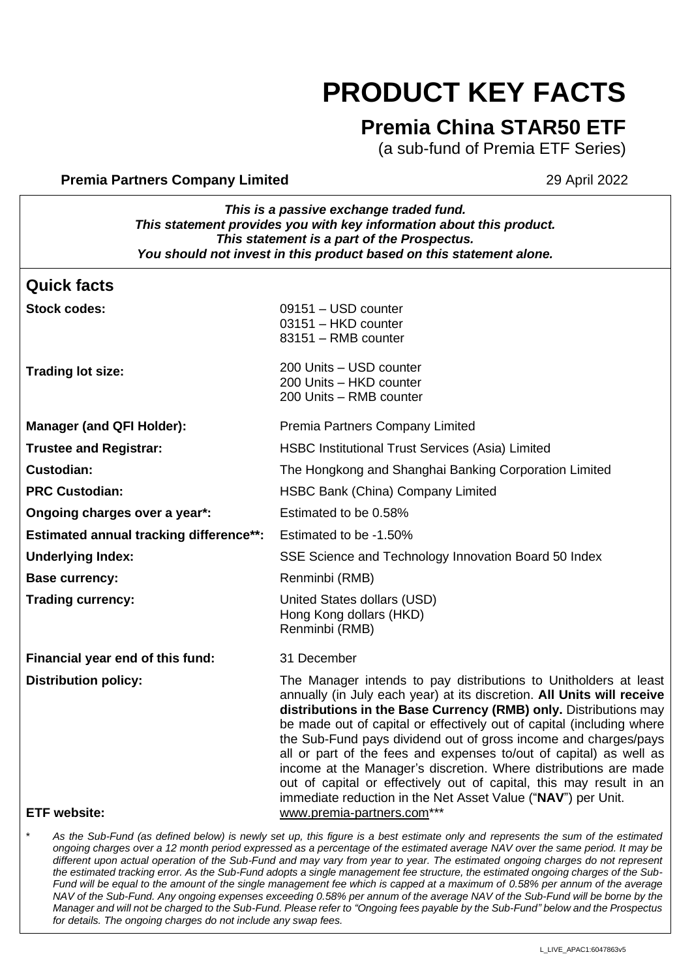# **PRODUCT KEY FACTS**

# **Premia China STAR50 ETF**

(a sub-fund of Premia ETF Series)

#### **Premia Partners Company Limited 29 April 2022**

*This is a passive exchange traded fund. This statement provides you with key information about this product. This statement is a part of the Prospectus. You should not invest in this product based on this statement alone.*

### **Quick facts**

**Stock codes:** 09151 – USD counter

| uluun uuu <del>c</del> a.                      | $03101 - 000$ counter<br>03151 - HKD counter<br>83151 - RMB counter                                                                                                                                                                                                                                                                                                                                                                                                                                                                                                                                                                         |
|------------------------------------------------|---------------------------------------------------------------------------------------------------------------------------------------------------------------------------------------------------------------------------------------------------------------------------------------------------------------------------------------------------------------------------------------------------------------------------------------------------------------------------------------------------------------------------------------------------------------------------------------------------------------------------------------------|
| <b>Trading lot size:</b>                       | 200 Units - USD counter<br>200 Units - HKD counter<br>200 Units - RMB counter                                                                                                                                                                                                                                                                                                                                                                                                                                                                                                                                                               |
| <b>Manager (and QFI Holder):</b>               | Premia Partners Company Limited                                                                                                                                                                                                                                                                                                                                                                                                                                                                                                                                                                                                             |
| <b>Trustee and Registrar:</b>                  | <b>HSBC Institutional Trust Services (Asia) Limited</b>                                                                                                                                                                                                                                                                                                                                                                                                                                                                                                                                                                                     |
| <b>Custodian:</b>                              | The Hongkong and Shanghai Banking Corporation Limited                                                                                                                                                                                                                                                                                                                                                                                                                                                                                                                                                                                       |
| <b>PRC Custodian:</b>                          | HSBC Bank (China) Company Limited                                                                                                                                                                                                                                                                                                                                                                                                                                                                                                                                                                                                           |
| Ongoing charges over a year*:                  | Estimated to be 0.58%                                                                                                                                                                                                                                                                                                                                                                                                                                                                                                                                                                                                                       |
| <b>Estimated annual tracking difference**:</b> | Estimated to be -1.50%                                                                                                                                                                                                                                                                                                                                                                                                                                                                                                                                                                                                                      |
| <b>Underlying Index:</b>                       | SSE Science and Technology Innovation Board 50 Index                                                                                                                                                                                                                                                                                                                                                                                                                                                                                                                                                                                        |
| <b>Base currency:</b>                          | Renminbi (RMB)                                                                                                                                                                                                                                                                                                                                                                                                                                                                                                                                                                                                                              |
| <b>Trading currency:</b>                       | United States dollars (USD)<br>Hong Kong dollars (HKD)<br>Renminbi (RMB)                                                                                                                                                                                                                                                                                                                                                                                                                                                                                                                                                                    |
| Financial year end of this fund:               | 31 December                                                                                                                                                                                                                                                                                                                                                                                                                                                                                                                                                                                                                                 |
| <b>Distribution policy:</b>                    | The Manager intends to pay distributions to Unitholders at least<br>annually (in July each year) at its discretion. All Units will receive<br>distributions in the Base Currency (RMB) only. Distributions may<br>be made out of capital or effectively out of capital (including where<br>the Sub-Fund pays dividend out of gross income and charges/pays<br>all or part of the fees and expenses to/out of capital) as well as<br>income at the Manager's discretion. Where distributions are made<br>out of capital or effectively out of capital, this may result in an<br>immediate reduction in the Net Asset Value ("NAV") per Unit. |

#### **ETF website:** [www.premia-partners.com\\*](http://www.premia-partners.com/)\*\*

As the Sub-Fund (as defined below) is newly set up, this figure is a best estimate only and represents the sum of the estimated *ongoing charges over a 12 month period expressed as a percentage of the estimated average NAV over the same period. It may be different upon actual operation of the Sub-Fund and may vary from year to year. The estimated ongoing charges do not represent the estimated tracking error. As the Sub-Fund adopts a single management fee structure, the estimated ongoing charges of the Sub-Fund will be equal to the amount of the single management fee which is capped at a maximum of 0.58% per annum of the average NAV of the Sub-Fund. Any ongoing expenses exceeding 0.58% per annum of the average NAV of the Sub-Fund will be borne by the Manager and will not be charged to the Sub-Fund. Please refer to "Ongoing fees payable by the Sub-Fund" below and the Prospectus for details. The ongoing charges do not include any swap fees.*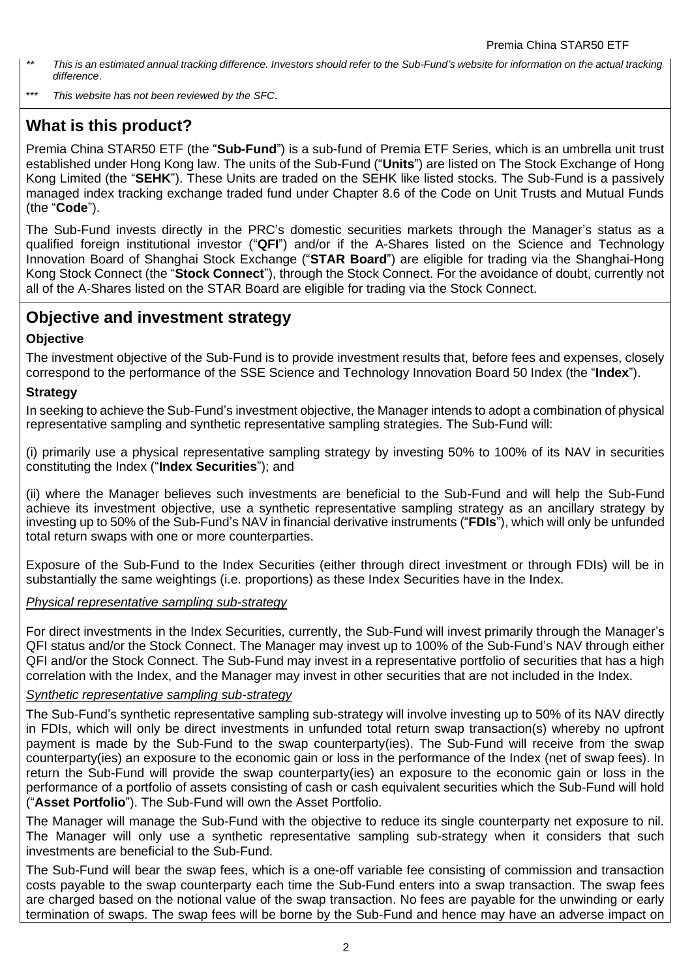- *\*\* This is an estimated annual tracking difference. Investors should refer to the Sub-Fund's website for information on the actual tracking difference*.
- \*\*\* *This website has not been reviewed by the SFC*.

# **What is this product?**

Premia China STAR50 ETF (the "**Sub-Fund**") is a sub-fund of Premia ETF Series, which is an umbrella unit trust established under Hong Kong law. The units of the Sub-Fund ("**Units**") are listed on The Stock Exchange of Hong Kong Limited (the "**SEHK**"). These Units are traded on the SEHK like listed stocks. The Sub-Fund is a passively managed index tracking exchange traded fund under Chapter 8.6 of the Code on Unit Trusts and Mutual Funds (the "**Code**").

The Sub-Fund invests directly in the PRC's domestic securities markets through the Manager's status as a qualified foreign institutional investor ("**QFI**") and/or if the A-Shares listed on the Science and Technology Innovation Board of Shanghai Stock Exchange ("**STAR Board**") are eligible for trading via the Shanghai-Hong Kong Stock Connect (the "**Stock Connect**"), through the Stock Connect. For the avoidance of doubt, currently not all of the A-Shares listed on the STAR Board are eligible for trading via the Stock Connect.

# **Objective and investment strategy**

#### **Objective**

The investment objective of the Sub-Fund is to provide investment results that, before fees and expenses, closely correspond to the performance of the SSE Science and Technology Innovation Board 50 Index (the "**Index**").

#### **Strategy**

In seeking to achieve the Sub-Fund's investment objective, the Manager intends to adopt a combination of physical representative sampling and synthetic representative sampling strategies. The Sub-Fund will:

(i) primarily use a physical representative sampling strategy by investing 50% to 100% of its NAV in securities constituting the Index ("**Index Securities**"); and

(ii) where the Manager believes such investments are beneficial to the Sub-Fund and will help the Sub-Fund achieve its investment objective, use a synthetic representative sampling strategy as an ancillary strategy by investing up to 50% of the Sub-Fund's NAV in financial derivative instruments ("**FDIs**"), which will only be unfunded total return swaps with one or more counterparties.

Exposure of the Sub-Fund to the Index Securities (either through direct investment or through FDIs) will be in substantially the same weightings (i.e. proportions) as these Index Securities have in the Index.

#### *Physical representative sampling sub-strategy*

For direct investments in the Index Securities, currently, the Sub-Fund will invest primarily through the Manager's QFI status and/or the Stock Connect. The Manager may invest up to 100% of the Sub-Fund's NAV through either QFI and/or the Stock Connect. The Sub-Fund may invest in a representative portfolio of securities that has a high correlation with the Index, and the Manager may invest in other securities that are not included in the Index.

#### *Synthetic representative sampling sub-strategy*

The Sub-Fund's synthetic representative sampling sub-strategy will involve investing up to 50% of its NAV directly in FDIs, which will only be direct investments in unfunded total return swap transaction(s) whereby no upfront payment is made by the Sub-Fund to the swap counterparty(ies). The Sub-Fund will receive from the swap counterparty(ies) an exposure to the economic gain or loss in the performance of the Index (net of swap fees). In return the Sub-Fund will provide the swap counterparty(ies) an exposure to the economic gain or loss in the performance of a portfolio of assets consisting of cash or cash equivalent securities which the Sub-Fund will hold ("**Asset Portfolio**"). The Sub-Fund will own the Asset Portfolio.

The Manager will manage the Sub-Fund with the objective to reduce its single counterparty net exposure to nil. The Manager will only use a synthetic representative sampling sub-strategy when it considers that such investments are beneficial to the Sub-Fund.

The Sub-Fund will bear the swap fees, which is a one-off variable fee consisting of commission and transaction costs payable to the swap counterparty each time the Sub-Fund enters into a swap transaction. The swap fees are charged based on the notional value of the swap transaction. No fees are payable for the unwinding or early termination of swaps. The swap fees will be borne by the Sub-Fund and hence may have an adverse impact on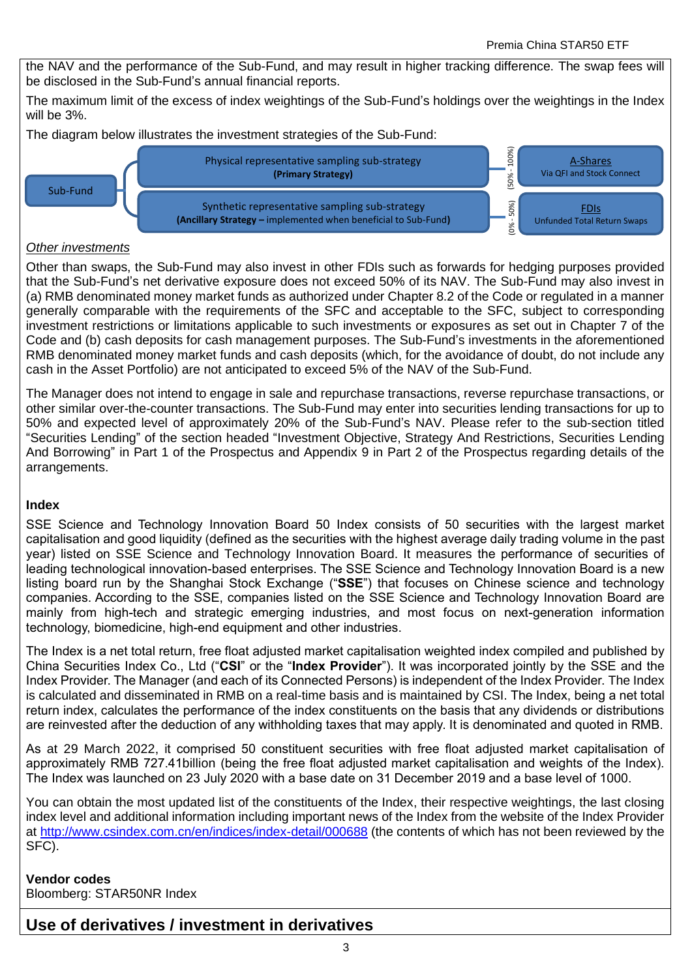the NAV and the performance of the Sub-Fund, and may result in higher tracking difference. The swap fees will be disclosed in the Sub-Fund's annual financial reports.

The maximum limit of the excess of index weightings of the Sub-Fund's holdings over the weightings in the Index will be 3%.

The diagram below illustrates the investment strategies of the Sub-Fund:



#### *Other investments*

Other than swaps, the Sub-Fund may also invest in other FDIs such as forwards for hedging purposes provided that the Sub-Fund's net derivative exposure does not exceed 50% of its NAV. The Sub-Fund may also invest in (a) RMB denominated money market funds as authorized under Chapter 8.2 of the Code or regulated in a manner generally comparable with the requirements of the SFC and acceptable to the SFC, subject to corresponding investment restrictions or limitations applicable to such investments or exposures as set out in Chapter 7 of the Code and (b) cash deposits for cash management purposes. The Sub-Fund's investments in the aforementioned RMB denominated money market funds and cash deposits (which, for the avoidance of doubt, do not include any cash in the Asset Portfolio) are not anticipated to exceed 5% of the NAV of the Sub-Fund.

The Manager does not intend to engage in sale and repurchase transactions, reverse repurchase transactions, or other similar over-the-counter transactions. The Sub-Fund may enter into securities lending transactions for up to 50% and expected level of approximately 20% of the Sub-Fund's NAV. Please refer to the sub-section titled "Securities Lending" of the section headed "Investment Objective, Strategy And Restrictions, Securities Lending And Borrowing" in Part 1 of the Prospectus and Appendix 9 in Part 2 of the Prospectus regarding details of the arrangements.

#### **Index**

SSE Science and Technology Innovation Board 50 Index consists of 50 securities with the largest market capitalisation and good liquidity (defined as the securities with the highest average daily trading volume in the past year) listed on SSE Science and Technology Innovation Board. It measures the performance of securities of leading technological innovation-based enterprises. The SSE Science and Technology Innovation Board is a new listing board run by the Shanghai Stock Exchange ("**SSE**") that focuses on Chinese science and technology companies. According to the SSE, companies listed on the SSE Science and Technology Innovation Board are mainly from high-tech and strategic emerging industries, and most focus on next-generation information technology, biomedicine, high-end equipment and other industries.

The Index is a net total return, free float adjusted market capitalisation weighted index compiled and published by China Securities Index Co., Ltd ("**CSI**" or the "**Index Provider**"). It was incorporated jointly by the SSE and the Index Provider. The Manager (and each of its Connected Persons) is independent of the Index Provider. The Index is calculated and disseminated in RMB on a real-time basis and is maintained by CSI. The Index, being a net total return index, calculates the performance of the index constituents on the basis that any dividends or distributions are reinvested after the deduction of any withholding taxes that may apply. It is denominated and quoted in RMB.

As at 29 March 2022, it comprised 50 constituent securities with free float adjusted market capitalisation of approximately RMB 727.41billion (being the free float adjusted market capitalisation and weights of the Index). The Index was launched on 23 July 2020 with a base date on 31 December 2019 and a base level of 1000.

You can obtain the most updated list of the constituents of the Index, their respective weightings, the last closing index level and additional information including important news of the Index from the website of the Index Provider at<http://www.csindex.com.cn/en/indices/index-detail/000688> (the contents of which has not been reviewed by the SFC).

### **Vendor codes** Bloomberg: STAR50NR Index

# **Use of derivatives / investment in derivatives**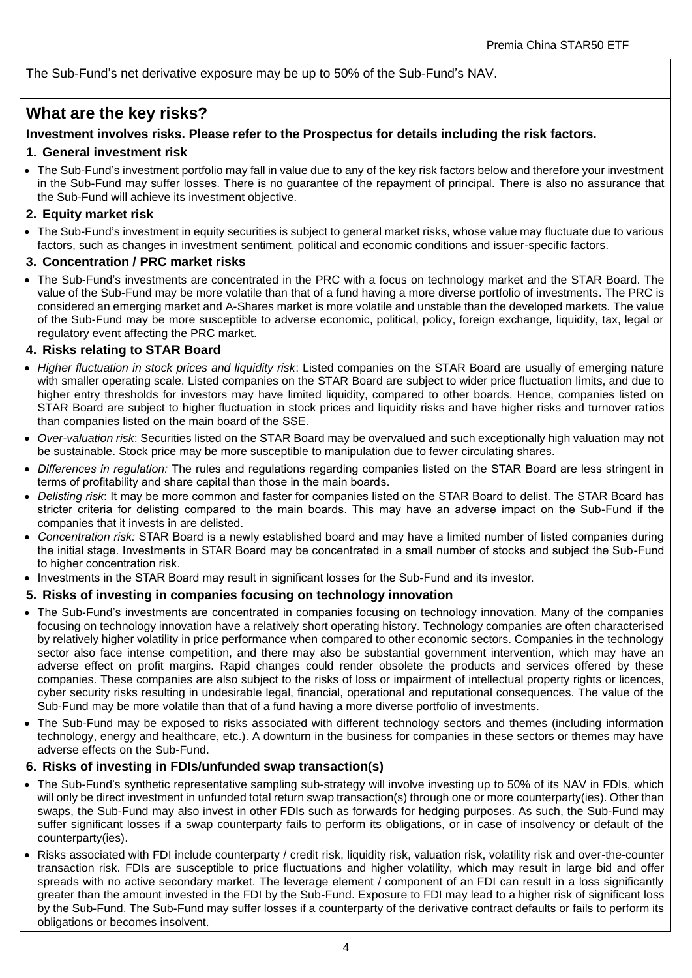The Sub-Fund's net derivative exposure may be up to 50% of the Sub-Fund's NAV.

### **What are the key risks?**

#### **Investment involves risks. Please refer to the Prospectus for details including the risk factors.**

#### **1. General investment risk**

• The Sub-Fund's investment portfolio may fall in value due to any of the key risk factors below and therefore your investment in the Sub-Fund may suffer losses. There is no guarantee of the repayment of principal. There is also no assurance that the Sub-Fund will achieve its investment objective.

#### **2. Equity market risk**

• The Sub-Fund's investment in equity securities is subject to general market risks, whose value may fluctuate due to various factors, such as changes in investment sentiment, political and economic conditions and issuer-specific factors.

#### **3. Concentration / PRC market risks**

• The Sub-Fund's investments are concentrated in the PRC with a focus on technology market and the STAR Board. The value of the Sub-Fund may be more volatile than that of a fund having a more diverse portfolio of investments. The PRC is considered an emerging market and A-Shares market is more volatile and unstable than the developed markets. The value of the Sub-Fund may be more susceptible to adverse economic, political, policy, foreign exchange, liquidity, tax, legal or regulatory event affecting the PRC market.

#### **4. Risks relating to STAR Board**

- *Higher fluctuation in stock prices and liquidity risk*: Listed companies on the STAR Board are usually of emerging nature with smaller operating scale. Listed companies on the STAR Board are subject to wider price fluctuation limits, and due to higher entry thresholds for investors may have limited liquidity, compared to other boards. Hence, companies listed on STAR Board are subject to higher fluctuation in stock prices and liquidity risks and have higher risks and turnover ratios than companies listed on the main board of the SSE.
- *Over-valuation risk*: Securities listed on the STAR Board may be overvalued and such exceptionally high valuation may not be sustainable. Stock price may be more susceptible to manipulation due to fewer circulating shares.
- *Differences in regulation:* The rules and regulations regarding companies listed on the STAR Board are less stringent in terms of profitability and share capital than those in the main boards.
- *Delisting risk*: It may be more common and faster for companies listed on the STAR Board to delist. The STAR Board has stricter criteria for delisting compared to the main boards. This may have an adverse impact on the Sub-Fund if the companies that it invests in are delisted.
- *Concentration risk:* STAR Board is a newly established board and may have a limited number of listed companies during the initial stage. Investments in STAR Board may be concentrated in a small number of stocks and subject the Sub-Fund to higher concentration risk.
- Investments in the STAR Board may result in significant losses for the Sub-Fund and its investor.

#### **5. Risks of investing in companies focusing on technology innovation**

- The Sub-Fund's investments are concentrated in companies focusing on technology innovation. Many of the companies focusing on technology innovation have a relatively short operating history. Technology companies are often characterised by relatively higher volatility in price performance when compared to other economic sectors. Companies in the technology sector also face intense competition, and there may also be substantial government intervention, which may have an adverse effect on profit margins. Rapid changes could render obsolete the products and services offered by these companies. These companies are also subject to the risks of loss or impairment of intellectual property rights or licences, cyber security risks resulting in undesirable legal, financial, operational and reputational consequences. The value of the Sub-Fund may be more volatile than that of a fund having a more diverse portfolio of investments.
- The Sub-Fund may be exposed to risks associated with different technology sectors and themes (including information technology, energy and healthcare, etc.). A downturn in the business for companies in these sectors or themes may have adverse effects on the Sub-Fund.

#### **6. Risks of investing in FDIs/unfunded swap transaction(s)**

- The Sub-Fund's synthetic representative sampling sub-strategy will involve investing up to 50% of its NAV in FDIs, which will only be direct investment in unfunded total return swap transaction(s) through one or more counterparty(ies). Other than swaps, the Sub-Fund may also invest in other FDIs such as forwards for hedging purposes. As such, the Sub-Fund may suffer significant losses if a swap counterparty fails to perform its obligations, or in case of insolvency or default of the counterparty(ies).
- Risks associated with FDI include counterparty / credit risk, liquidity risk, valuation risk, volatility risk and over-the-counter transaction risk. FDIs are susceptible to price fluctuations and higher volatility, which may result in large bid and offer spreads with no active secondary market. The leverage element / component of an FDI can result in a loss significantly greater than the amount invested in the FDI by the Sub-Fund. Exposure to FDI may lead to a higher risk of significant loss by the Sub-Fund. The Sub-Fund may suffer losses if a counterparty of the derivative contract defaults or fails to perform its obligations or becomes insolvent.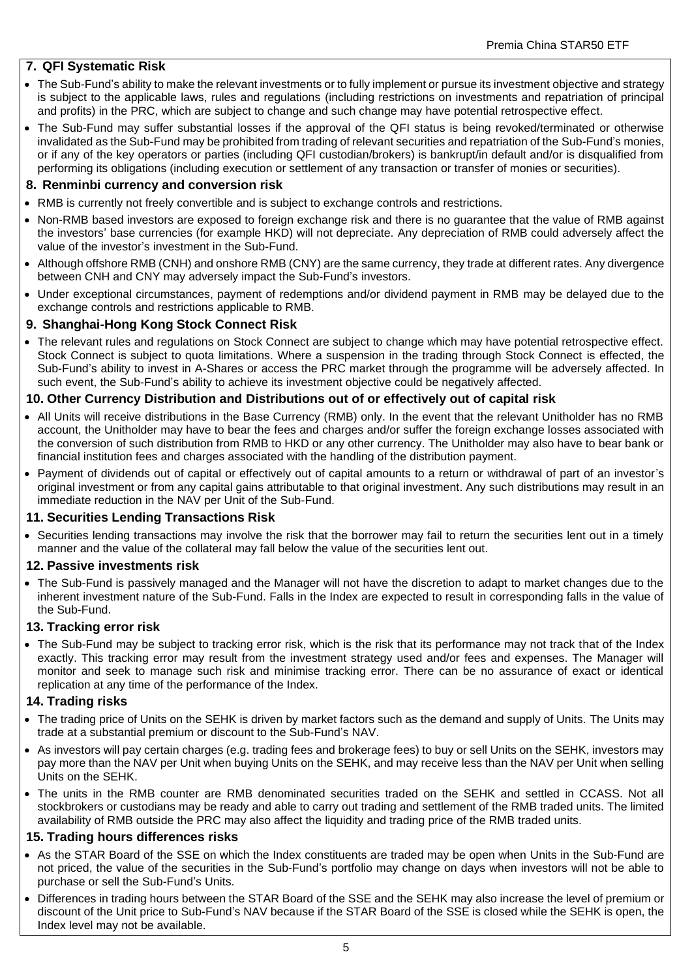#### **7. QFI Systematic Risk**

- The Sub-Fund's ability to make the relevant investments or to fully implement or pursue its investment objective and strategy is subject to the applicable laws, rules and regulations (including restrictions on investments and repatriation of principal and profits) in the PRC, which are subject to change and such change may have potential retrospective effect.
- The Sub-Fund may suffer substantial losses if the approval of the QFI status is being revoked/terminated or otherwise invalidated as the Sub-Fund may be prohibited from trading of relevant securities and repatriation of the Sub-Fund's monies, or if any of the key operators or parties (including QFI custodian/brokers) is bankrupt/in default and/or is disqualified from performing its obligations (including execution or settlement of any transaction or transfer of monies or securities).

#### **8. Renminbi currency and conversion risk**

- RMB is currently not freely convertible and is subject to exchange controls and restrictions.
- Non-RMB based investors are exposed to foreign exchange risk and there is no guarantee that the value of RMB against the investors' base currencies (for example HKD) will not depreciate. Any depreciation of RMB could adversely affect the value of the investor's investment in the Sub-Fund.
- Although offshore RMB (CNH) and onshore RMB (CNY) are the same currency, they trade at different rates. Any divergence between CNH and CNY may adversely impact the Sub-Fund's investors.
- Under exceptional circumstances, payment of redemptions and/or dividend payment in RMB may be delayed due to the exchange controls and restrictions applicable to RMB.

#### **9. Shanghai-Hong Kong Stock Connect Risk**

• The relevant rules and regulations on Stock Connect are subject to change which may have potential retrospective effect. Stock Connect is subject to quota limitations. Where a suspension in the trading through Stock Connect is effected, the Sub-Fund's ability to invest in A-Shares or access the PRC market through the programme will be adversely affected. In such event, the Sub-Fund's ability to achieve its investment objective could be negatively affected.

#### **10. Other Currency Distribution and Distributions out of or effectively out of capital risk**

- All Units will receive distributions in the Base Currency (RMB) only. In the event that the relevant Unitholder has no RMB account, the Unitholder may have to bear the fees and charges and/or suffer the foreign exchange losses associated with the conversion of such distribution from RMB to HKD or any other currency. The Unitholder may also have to bear bank or financial institution fees and charges associated with the handling of the distribution payment.
- Payment of dividends out of capital or effectively out of capital amounts to a return or withdrawal of part of an investor's original investment or from any capital gains attributable to that original investment. Any such distributions may result in an immediate reduction in the NAV per Unit of the Sub-Fund.

#### **11. Securities Lending Transactions Risk**

• Securities lending transactions may involve the risk that the borrower may fail to return the securities lent out in a timely manner and the value of the collateral may fall below the value of the securities lent out.

#### **12. Passive investments risk**

• The Sub-Fund is passively managed and the Manager will not have the discretion to adapt to market changes due to the inherent investment nature of the Sub-Fund. Falls in the Index are expected to result in corresponding falls in the value of the Sub-Fund.

#### **13. Tracking error risk**

• The Sub-Fund may be subject to tracking error risk, which is the risk that its performance may not track that of the Index exactly. This tracking error may result from the investment strategy used and/or fees and expenses. The Manager will monitor and seek to manage such risk and minimise tracking error. There can be no assurance of exact or identical replication at any time of the performance of the Index.

#### **14. Trading risks**

- The trading price of Units on the SEHK is driven by market factors such as the demand and supply of Units. The Units may trade at a substantial premium or discount to the Sub-Fund's NAV.
- As investors will pay certain charges (e.g. trading fees and brokerage fees) to buy or sell Units on the SEHK, investors may pay more than the NAV per Unit when buying Units on the SEHK, and may receive less than the NAV per Unit when selling Units on the SEHK.
- The units in the RMB counter are RMB denominated securities traded on the SEHK and settled in CCASS. Not all stockbrokers or custodians may be ready and able to carry out trading and settlement of the RMB traded units. The limited availability of RMB outside the PRC may also affect the liquidity and trading price of the RMB traded units.

#### **15. Trading hours differences risks**

- As the STAR Board of the SSE on which the Index constituents are traded may be open when Units in the Sub-Fund are not priced, the value of the securities in the Sub-Fund's portfolio may change on days when investors will not be able to purchase or sell the Sub-Fund's Units.
- Differences in trading hours between the STAR Board of the SSE and the SEHK may also increase the level of premium or discount of the Unit price to Sub-Fund's NAV because if the STAR Board of the SSE is closed while the SEHK is open, the Index level may not be available.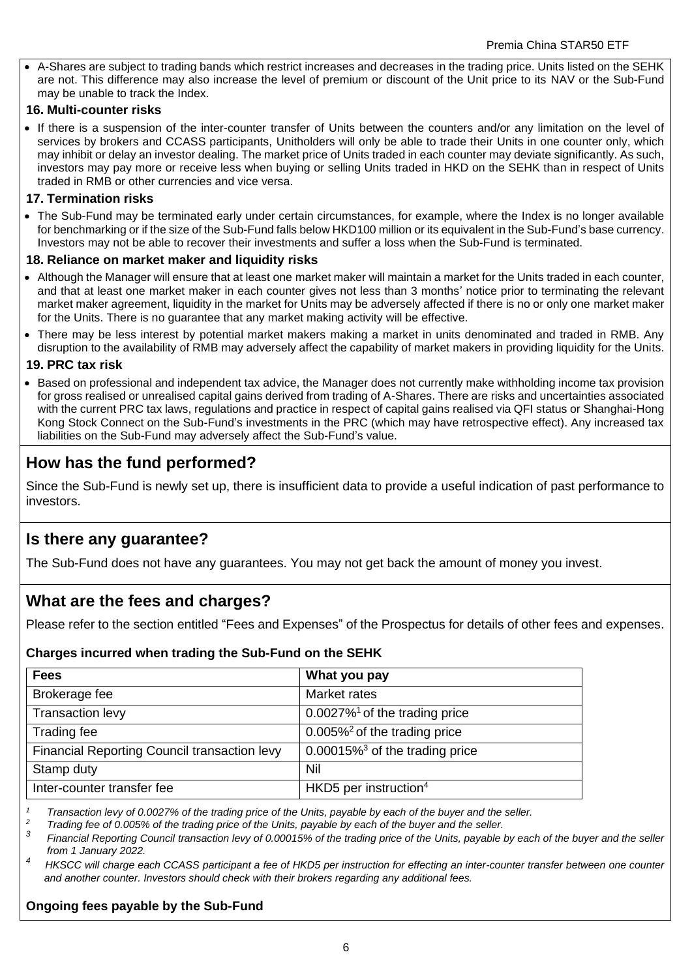• A-Shares are subject to trading bands which restrict increases and decreases in the trading price. Units listed on the SEHK are not. This difference may also increase the level of premium or discount of the Unit price to its NAV or the Sub-Fund may be unable to track the Index.

#### **16. Multi-counter risks**

• If there is a suspension of the inter-counter transfer of Units between the counters and/or any limitation on the level of services by brokers and CCASS participants, Unitholders will only be able to trade their Units in one counter only, which may inhibit or delay an investor dealing. The market price of Units traded in each counter may deviate significantly. As such, investors may pay more or receive less when buying or selling Units traded in HKD on the SEHK than in respect of Units traded in RMB or other currencies and vice versa.

#### **17. Termination risks**

• The Sub-Fund may be terminated early under certain circumstances, for example, where the Index is no longer available for benchmarking or if the size of the Sub-Fund falls below HKD100 million or its equivalent in the Sub-Fund's base currency. Investors may not be able to recover their investments and suffer a loss when the Sub-Fund is terminated.

#### **18. Reliance on market maker and liquidity risks**

- Although the Manager will ensure that at least one market maker will maintain a market for the Units traded in each counter, and that at least one market maker in each counter gives not less than 3 months' notice prior to terminating the relevant market maker agreement, liquidity in the market for Units may be adversely affected if there is no or only one market maker for the Units. There is no guarantee that any market making activity will be effective.
- There may be less interest by potential market makers making a market in units denominated and traded in RMB. Any disruption to the availability of RMB may adversely affect the capability of market makers in providing liquidity for the Units.

#### **19. PRC tax risk**

• Based on professional and independent tax advice, the Manager does not currently make withholding income tax provision for gross realised or unrealised capital gains derived from trading of A-Shares. There are risks and uncertainties associated with the current PRC tax laws, regulations and practice in respect of capital gains realised via QFI status or Shanghai-Hong Kong Stock Connect on the Sub-Fund's investments in the PRC (which may have retrospective effect). Any increased tax liabilities on the Sub-Fund may adversely affect the Sub-Fund's value.

# **How has the fund performed?**

Since the Sub-Fund is newly set up, there is insufficient data to provide a useful indication of past performance to investors.

# **Is there any guarantee?**

The Sub-Fund does not have any guarantees. You may not get back the amount of money you invest.

# **What are the fees and charges?**

Please refer to the section entitled "Fees and Expenses" of the Prospectus for details of other fees and expenses.

#### **Charges incurred when trading the Sub-Fund on the SEHK**

| <b>Fees</b>                                  | What you pay                                  |
|----------------------------------------------|-----------------------------------------------|
| Brokerage fee                                | Market rates                                  |
| <b>Transaction levy</b>                      | $0.0027\%$ <sup>1</sup> of the trading price  |
| Trading fee                                  | $0.005\%$ <sup>2</sup> of the trading price   |
| Financial Reporting Council transaction levy | $0.00015\%$ <sup>3</sup> of the trading price |
| Stamp duty                                   | Nil                                           |
| Inter-counter transfer fee                   | HKD5 per instruction <sup>4</sup>             |

*<sup>1</sup> Transaction levy of 0.0027% of the trading price of the Units, payable by each of the buyer and the seller.*

*<sup>2</sup> Trading fee of 0.005% of the trading price of the Units, payable by each of the buyer and the seller.*

*3 Financial Reporting Council transaction levy of 0.00015% of the trading price of the Units, payable by each of the buyer and the seller from 1 January 2022.*

*<sup>4</sup>HKSCC will charge each CCASS participant a fee of HKD5 per instruction for effecting an inter-counter transfer between one counter and another counter. Investors should check with their brokers regarding any additional fees.*

#### **Ongoing fees payable by the Sub-Fund**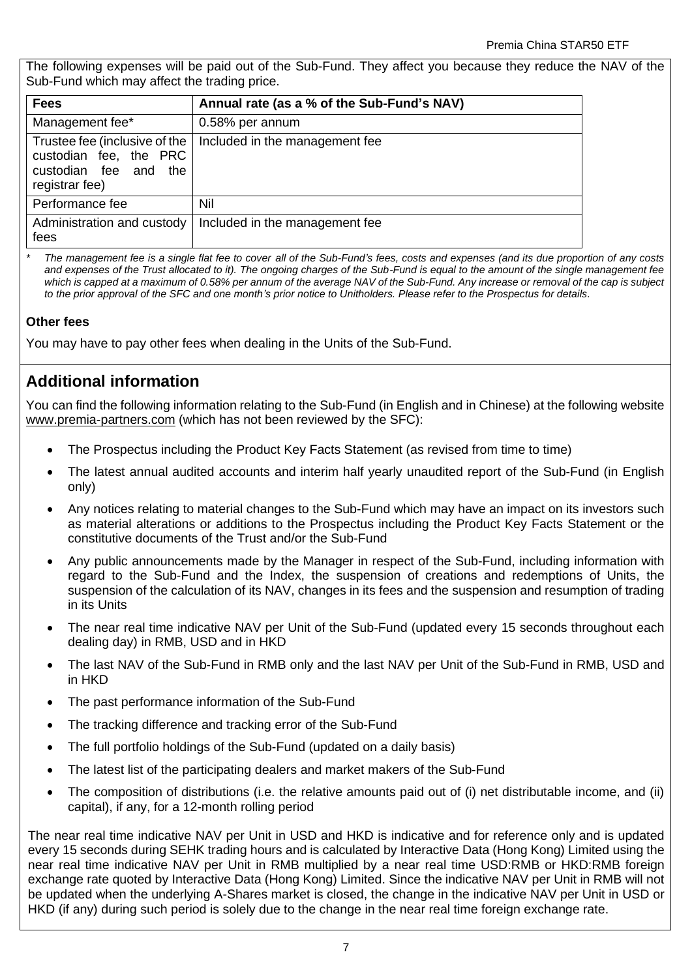The following expenses will be paid out of the Sub-Fund. They affect you because they reduce the NAV of the Sub-Fund which may affect the trading price.

| <b>Fees</b>                                                                                           | Annual rate (as a % of the Sub-Fund's NAV) |
|-------------------------------------------------------------------------------------------------------|--------------------------------------------|
| Management fee*                                                                                       | 0.58% per annum                            |
| Trustee fee (inclusive of the<br>custodian fee, the PRC<br>custodian fee and<br>the<br>registrar fee) | Included in the management fee             |
| Performance fee                                                                                       | Nil                                        |
| Administration and custody<br>fees                                                                    | Included in the management fee             |

*\* The management fee is a single flat fee to cover all of the Sub-Fund's fees, costs and expenses (and its due proportion of any costs and expenses of the Trust allocated to it). The ongoing charges of the Sub-Fund is equal to the amount of the single management fee which is capped at a maximum of 0.58% per annum of the average NAV of the Sub-Fund. Any increase or removal of the cap is subject to the prior approval of the SFC and one month's prior notice to Unitholders. Please refer to the Prospectus for details.*

### **Other fees**

You may have to pay other fees when dealing in the Units of the Sub-Fund.

# **Additional information**

You can find the following information relating to the Sub-Fund (in English and in Chinese) at the following website [www.premia-partners.com](http://www.premia-partners.com/) (which has not been reviewed by the SFC):

- The Prospectus including the Product Key Facts Statement (as revised from time to time)
- The latest annual audited accounts and interim half yearly unaudited report of the Sub-Fund (in English only)
- Any notices relating to material changes to the Sub-Fund which may have an impact on its investors such as material alterations or additions to the Prospectus including the Product Key Facts Statement or the constitutive documents of the Trust and/or the Sub-Fund
- Any public announcements made by the Manager in respect of the Sub-Fund, including information with regard to the Sub-Fund and the Index, the suspension of creations and redemptions of Units, the suspension of the calculation of its NAV, changes in its fees and the suspension and resumption of trading in its Units
- The near real time indicative NAV per Unit of the Sub-Fund (updated every 15 seconds throughout each dealing day) in RMB, USD and in HKD
- The last NAV of the Sub-Fund in RMB only and the last NAV per Unit of the Sub-Fund in RMB, USD and in HKD
- The past performance information of the Sub-Fund
- The tracking difference and tracking error of the Sub-Fund
- The full portfolio holdings of the Sub-Fund (updated on a daily basis)
- The latest list of the participating dealers and market makers of the Sub-Fund
- The composition of distributions (i.e. the relative amounts paid out of (i) net distributable income, and (ii) capital), if any, for a 12-month rolling period

The near real time indicative NAV per Unit in USD and HKD is indicative and for reference only and is updated every 15 seconds during SEHK trading hours and is calculated by Interactive Data (Hong Kong) Limited using the near real time indicative NAV per Unit in RMB multiplied by a near real time USD:RMB or HKD:RMB foreign exchange rate quoted by Interactive Data (Hong Kong) Limited. Since the indicative NAV per Unit in RMB will not be updated when the underlying A-Shares market is closed, the change in the indicative NAV per Unit in USD or HKD (if any) during such period is solely due to the change in the near real time foreign exchange rate.